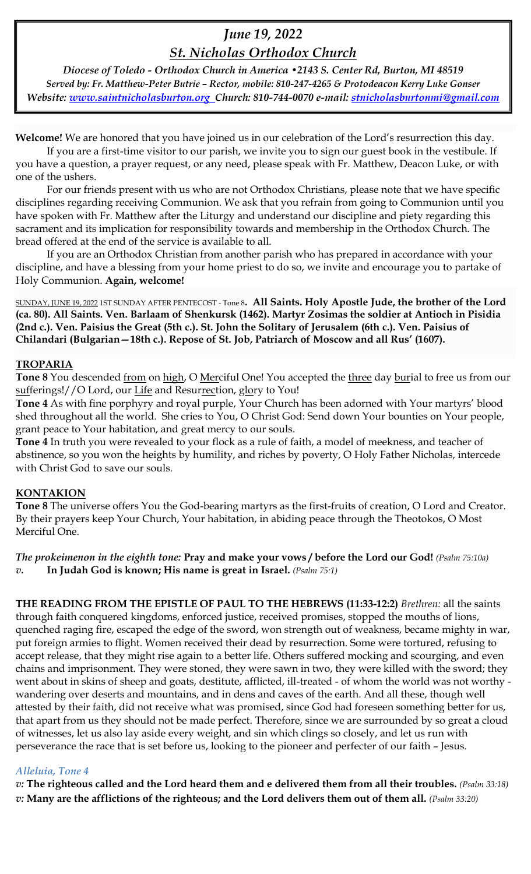# *June 19, 2022*

## *St. Nicholas Orthodox Church*

*Diocese of Toledo - Orthodox Church in America •2143 S. Center Rd, Burton, MI 48519 Served by: Fr. Matthew-Peter Butrie – Rector, mobile: 810-247-4265 & Protodeacon Kerry Luke Gonser Website: [www.saintnicholasburton.org](http://www.saintnicholasburton.org/) Church: 810-744-0070 e-mail: [stnicholasburtonmi@gmail.com](mailto:stnicholasburtonmi@gmail.com)*

**Welcome!** We are honored that you have joined us in our celebration of the Lord's resurrection this day.

If you are a first-time visitor to our parish, we invite you to sign our guest book in the vestibule. If you have a question, a prayer request, or any need, please speak with Fr. Matthew, Deacon Luke, or with one of the ushers.

For our friends present with us who are not Orthodox Christians, please note that we have specific disciplines regarding receiving Communion. We ask that you refrain from going to Communion until you have spoken with Fr. Matthew after the Liturgy and understand our discipline and piety regarding this sacrament and its implication for responsibility towards and membership in the Orthodox Church. The bread offered at the end of the service is available to all.

If you are an Orthodox Christian from another parish who has prepared in accordance with your discipline, and have a blessing from your home priest to do so, we invite and encourage you to partake of Holy Communion. **Again, welcome!** 

SUNDAY, JUNE 19, 2022 1ST SUNDAY AFTER PENTECOST - Tone 8**. All Saints. Holy Apostle Jude, the brother of the Lord (ca. 80). All Saints. Ven. Barlaam of Shenkursk (1462). Martyr Zosimas the soldier at Antioch in Pisidia (2nd c.). Ven. Paisius the Great (5th c.). St. John the Solitary of Jerusalem (6th c.). Ven. Paisius of Chilandari (Bulgarian—18th c.). Repose of St. Job, Patriarch of Moscow and all Rus' (1607).**

## **TROPARIA**

Tone 8 You descended from on high, O Merciful One! You accepted the three day burial to free us from our sufferings!//O Lord, our Life and Resurrection, glory to You!

**Tone 4** As with fine porphyry and royal purple, Your Church has been adorned with Your martyrs' blood shed throughout all the world. She cries to You, O Christ God: Send down Your bounties on Your people, grant peace to Your habitation, and great mercy to our souls.

**Tone 4** In truth you were revealed to your flock as a rule of faith, a model of meekness, and teacher of abstinence, so you won the heights by humility, and riches by poverty, O Holy Father Nicholas, intercede with Christ God to save our souls.

## **KONTAKION**

**Tone 8** The universe offers You the God-bearing martyrs as the first-fruits of creation, O Lord and Creator. By their prayers keep Your Church, Your habitation, in abiding peace through the Theotokos, O Most Merciful One.

*The prokeimenon in the eighth tone:* **Pray and make your vows / before the Lord our God!** *(Psalm 75:10a) v.* **In Judah God is known; His name is great in Israel.** *(Psalm 75:1)*

**THE READING FROM THE EPISTLE OF PAUL TO THE HEBREWS (11:33-12:2)** *Brethren:* all the saints through faith conquered kingdoms, enforced justice, received promises, stopped the mouths of lions, quenched raging fire, escaped the edge of the sword, won strength out of weakness, became mighty in war, put foreign armies to flight. Women received their dead by resurrection. Some were tortured, refusing to accept release, that they might rise again to a better life. Others suffered mocking and scourging, and even chains and imprisonment. They were stoned, they were sawn in two, they were killed with the sword; they went about in skins of sheep and goats, destitute, afflicted, ill-treated - of whom the world was not worthy wandering over deserts and mountains, and in dens and caves of the earth. And all these, though well attested by their faith, did not receive what was promised, since God had foreseen something better for us, that apart from us they should not be made perfect. Therefore, since we are surrounded by so great a cloud of witnesses, let us also lay aside every weight, and sin which clings so closely, and let us run with perseverance the race that is set before us, looking to the pioneer and perfecter of our faith – Jesus.

## *Alleluia, Tone 4*

*v:* **The righteous called and the Lord heard them and e delivered them from all their troubles.** *(Psalm 33:18) v:* **Many are the afflictions of the righteous; and the Lord delivers them out of them all.** *(Psalm 33:20)*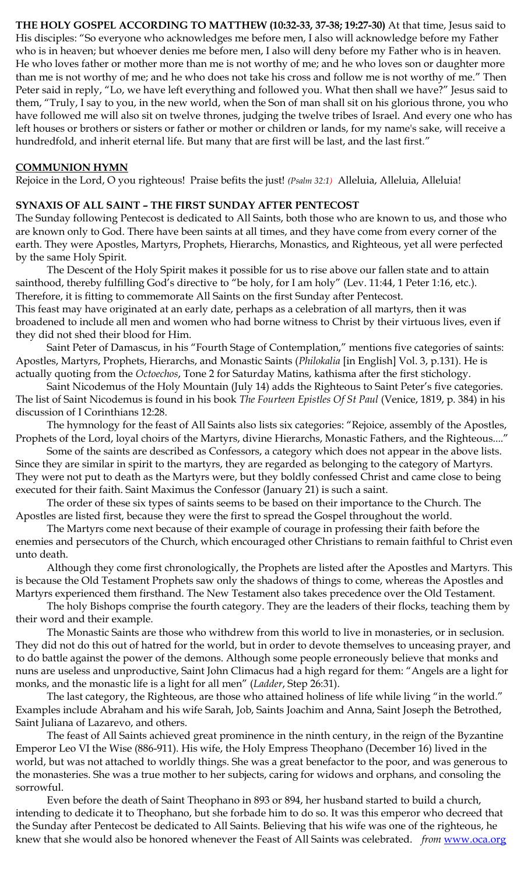**THE HOLY GOSPEL ACCORDING TO MATTHEW (10:32-33, 37-38; 19:27-30)** At that time, Jesus said to His disciples: "So everyone who acknowledges me before men, I also will acknowledge before my Father who is in heaven; but whoever denies me before men, I also will deny before my Father who is in heaven. He who loves father or mother more than me is not worthy of me; and he who loves son or daughter more than me is not worthy of me; and he who does not take his cross and follow me is not worthy of me." Then Peter said in reply, "Lo, we have left everything and followed you. What then shall we have?" Jesus said to them, "Truly, I say to you, in the new world, when the Son of man shall sit on his glorious throne, you who have followed me will also sit on twelve thrones, judging the twelve tribes of Israel. And every one who has left houses or brothers or sisters or father or mother or children or lands, for my name's sake, will receive a hundredfold, and inherit eternal life. But many that are first will be last, and the last first."

#### **COMMUNION HYMN**

Rejoice in the Lord, O you righteous! Praise befits the just! *(Psalm 32:1)* Alleluia, Alleluia, Alleluia!

#### **SYNAXIS OF ALL SAINT – THE FIRST SUNDAY AFTER PENTECOST**

The Sunday following Pentecost is dedicated to All Saints, both those who are known to us, and those who are known only to God. There have been saints at all times, and they have come from every corner of the earth. They were Apostles, Martyrs, Prophets, Hierarchs, Monastics, and Righteous, yet all were perfected by the same Holy Spirit.

The Descent of the Holy Spirit makes it possible for us to rise above our fallen state and to attain sainthood, thereby fulfilling God's directive to "be holy, for I am holy" (Lev. 11:44, 1 Peter 1:16, etc.). Therefore, it is fitting to commemorate All Saints on the first Sunday after Pentecost.

This feast may have originated at an early date, perhaps as a celebration of all martyrs, then it was broadened to include all men and women who had borne witness to Christ by their virtuous lives, even if they did not shed their blood for Him.

Saint Peter of Damascus, in his "Fourth Stage of Contemplation," mentions five categories of saints: Apostles, Martyrs, Prophets, Hierarchs, and Monastic Saints (*Philokalia* [in English] Vol. 3, p.131). He is actually quoting from the *Octoechos*, Tone 2 for Saturday Matins, kathisma after the first stichology.

Saint Nicodemus of the Holy Mountain (July 14) adds the Righteous to Saint Peter's five categories. The list of Saint Nicodemus is found in his book *The Fourteen Epistles Of St Paul* (Venice, 1819, p. 384) in his discussion of I Corinthians 12:28.

The hymnology for the feast of All Saints also lists six categories: "Rejoice, assembly of the Apostles, Prophets of the Lord, loyal choirs of the Martyrs, divine Hierarchs, Monastic Fathers, and the Righteous...."

Some of the saints are described as Confessors, a category which does not appear in the above lists. Since they are similar in spirit to the martyrs, they are regarded as belonging to the category of Martyrs. They were not put to death as the Martyrs were, but they boldly confessed Christ and came close to being executed for their faith. Saint Maximus the Confessor (January 21) is such a saint.

The order of these six types of saints seems to be based on their importance to the Church. The Apostles are listed first, because they were the first to spread the Gospel throughout the world.

The Martyrs come next because of their example of courage in professing their faith before the enemies and persecutors of the Church, which encouraged other Christians to remain faithful to Christ even unto death.

Although they come first chronologically, the Prophets are listed after the Apostles and Martyrs. This is because the Old Testament Prophets saw only the shadows of things to come, whereas the Apostles and Martyrs experienced them firsthand. The New Testament also takes precedence over the Old Testament.

The holy Bishops comprise the fourth category. They are the leaders of their flocks, teaching them by their word and their example.

The Monastic Saints are those who withdrew from this world to live in monasteries, or in seclusion. They did not do this out of hatred for the world, but in order to devote themselves to unceasing prayer, and to do battle against the power of the demons. Although some people erroneously believe that monks and nuns are useless and unproductive, Saint John Climacus had a high regard for them: "Angels are a light for monks, and the monastic life is a light for all men" (*Ladder*, Step 26:31).

The last category, the Righteous, are those who attained holiness of life while living "in the world." Examples include Abraham and his wife Sarah, Job, Saints Joachim and Anna, Saint Joseph the Betrothed, Saint Juliana of Lazarevo, and others.

The feast of All Saints achieved great prominence in the ninth century, in the reign of the Byzantine Emperor Leo VI the Wise (886-911). His wife, the Holy Empress Theophano (December 16) lived in the world, but was not attached to worldly things. She was a great benefactor to the poor, and was generous to the monasteries. She was a true mother to her subjects, caring for widows and orphans, and consoling the sorrowful.

Even before the death of Saint Theophano in 893 or 894, her husband started to build a church, intending to dedicate it to Theophano, but she forbade him to do so. It was this emperor who decreed that the Sunday after Pentecost be dedicated to All Saints. Believing that his wife was one of the righteous, he knew that she would also be honored whenever the Feast of All Saints was celebrated. *from* [www.oca.org](http://www.oca.org/)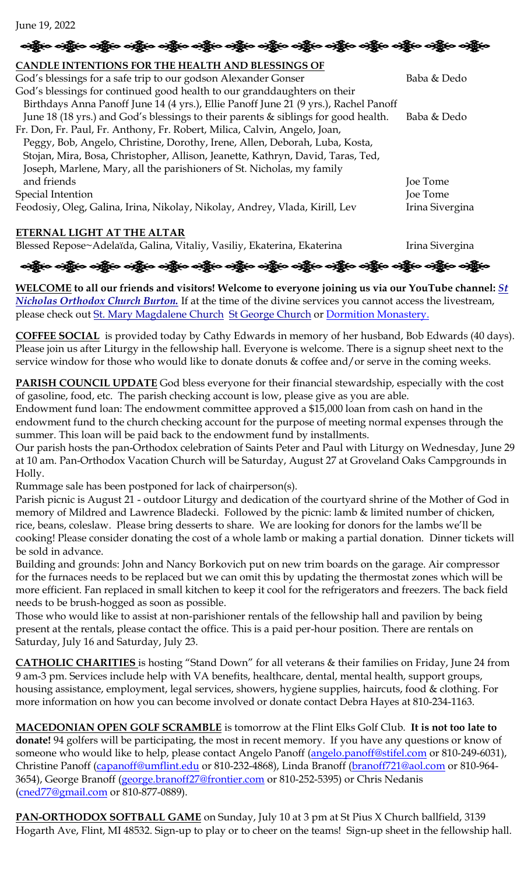June 19, 2022

| းရွို့မ ပန္ဟိုမ ပန္ဟိုမ ပန္ဟိုမ ပန္ဟိုမ ပန္ဟိုမ ပန္ဟိုမ ပန္ဟိုမ ပန္ဟိုမ ပန္ဟိုမ ပန္ဟိုမ ပန္ဟိုမ ပန္ဟိုမ |  |  |  |  |  |  |
|---------------------------------------------------------------------------------------------------------|--|--|--|--|--|--|
|---------------------------------------------------------------------------------------------------------|--|--|--|--|--|--|

| CANDLE INTENTIONS FOR THE HEALTH AND BLESSINGS OF                                    |                 |
|--------------------------------------------------------------------------------------|-----------------|
| God's blessings for a safe trip to our godson Alexander Gonser                       | Baba & Dedo     |
| God's blessings for continued good health to our granddaughters on their             |                 |
| Birthdays Anna Panoff June 14 (4 yrs.), Ellie Panoff June 21 (9 yrs.), Rachel Panoff |                 |
| June 18 (18 yrs.) and God's blessings to their parents & siblings for good health.   | Baba & Dedo     |
| Fr. Don, Fr. Paul, Fr. Anthony, Fr. Robert, Milica, Calvin, Angelo, Joan,            |                 |
| Peggy, Bob, Angelo, Christine, Dorothy, Irene, Allen, Deborah, Luba, Kosta,          |                 |
| Stojan, Mira, Bosa, Christopher, Allison, Jeanette, Kathryn, David, Taras, Ted,      |                 |
| Joseph, Marlene, Mary, all the parishioners of St. Nicholas, my family               |                 |
| and friends                                                                          | Joe Tome        |
| Special Intention                                                                    | Joe Tome        |
| Feodosiy, Oleg, Galina, Irina, Nikolay, Nikolay, Andrey, Vlada, Kirill, Lev          | Irina Sivergina |
|                                                                                      |                 |
| ETERNAL LIGHT AT THE ALTAR                                                           |                 |

Blessed Repose~Adelaïda, Galina, Vitaliy, Vasiliy, Ekaterina, Ekaterina Irina Sivergina

બંફ્યુલ બંફ્યુલ બંદ્યુલ બંદ્યુલ બંદ્યુલ બંદ્યુલ બંદ્યુલ બંદ્યુલ બંદ્યુલ બંદ્યુલ બંદ્યુલ બંદ્યુલ બંદ્યુલ બંદ્યુલ

**WELCOME to all our friends and visitors! Welcome to everyone joining us via our YouTube channel:** *[St](https://www.youtube.com/channel/UC59tV-Re443z-GCoETAUvfA)  [Nicholas Orthodox Church Burton.](https://www.youtube.com/channel/UC59tV-Re443z-GCoETAUvfA)* If at the time of the divine services you cannot access the livestream, please check out [St. Mary Magdalene Church](https://www.youtube.com/channel/UClHAqZrWkXdYELujbbIslHg) [St George Church](https://www.youtube.com/channel/UCpLWfxMIJK4uQOV41ekE6Wg/videos?view=2&flow=grid) or [Dormition Monastery.](https://www.youtube.com/channel/UC3z4Gp5OYPGhWYOxm-GlVnA)

**COFFEE SOCIAL** is provided today by Cathy Edwards in memory of her husband, Bob Edwards (40 days). Please join us after Liturgy in the fellowship hall. Everyone is welcome. There is a signup sheet next to the service window for those who would like to donate donuts & coffee and/or serve in the coming weeks.

**PARISH COUNCIL UPDATE** God bless everyone for their financial stewardship, especially with the cost of gasoline, food, etc. The parish checking account is low, please give as you are able.

Endowment fund loan: The endowment committee approved a \$15,000 loan from cash on hand in the endowment fund to the church checking account for the purpose of meeting normal expenses through the summer. This loan will be paid back to the endowment fund by installments.

Our parish hosts the pan-Orthodox celebration of Saints Peter and Paul with Liturgy on Wednesday, June 29 at 10 am. Pan-Orthodox Vacation Church will be Saturday, August 27 at Groveland Oaks Campgrounds in Holly.

Rummage sale has been postponed for lack of chairperson(s).

Parish picnic is August 21 - outdoor Liturgy and dedication of the courtyard shrine of the Mother of God in memory of Mildred and Lawrence Bladecki. Followed by the picnic: lamb & limited number of chicken, rice, beans, coleslaw. Please bring desserts to share. We are looking for donors for the lambs we'll be cooking! Please consider donating the cost of a whole lamb or making a partial donation. Dinner tickets will be sold in advance.

Building and grounds: John and Nancy Borkovich put on new trim boards on the garage. Air compressor for the furnaces needs to be replaced but we can omit this by updating the thermostat zones which will be more efficient. Fan replaced in small kitchen to keep it cool for the refrigerators and freezers. The back field needs to be brush-hogged as soon as possible.

Those who would like to assist at non-parishioner rentals of the fellowship hall and pavilion by being present at the rentals, please contact the office. This is a paid per-hour position. There are rentals on Saturday, July 16 and Saturday, July 23.

**CATHOLIC CHARITIES** is hosting "Stand Down" for all veterans & their families on Friday, June 24 from 9 am-3 pm. Services include help with VA benefits, healthcare, dental, mental health, support groups, housing assistance, employment, legal services, showers, hygiene supplies, haircuts, food & clothing. For more information on how you can become involved or donate contact Debra Hayes at 810-234-1163.

**MACEDONIAN OPEN GOLF SCRAMBLE** is tomorrow at the Flint Elks Golf Club. **It is not too late to donate!** 94 golfers will be participating, the most in recent memory. If you have any questions or know of someone who would like to help, please contact Angelo Panoff [\(angelo.panoff@stifel.com](mailto:angelo.panoff@stifel.com) or 810-249-6031), Christine Panoff [\(capanoff@umflint.edu](mailto:capanoff@umflint.edu) or 810-232-4868), Linda Branoff [\(branoff721@aol.com](mailto:branoff721@aol.com) or 810-964-3654), George Branoff [\(george.branoff27@frontier.com](mailto:george.branoff27@frontier.com) or 810-252-5395) or Chris Nedanis [\(cned77@gmail.com](mailto:cned77@gmail.com) or 810-877-0889).

**PAN-ORTHODOX SOFTBALL GAME** on Sunday, July 10 at 3 pm at St Pius X Church ballfield, 3139 Hogarth Ave, Flint, MI 48532. Sign-up to play or to cheer on the teams! Sign-up sheet in the fellowship hall.